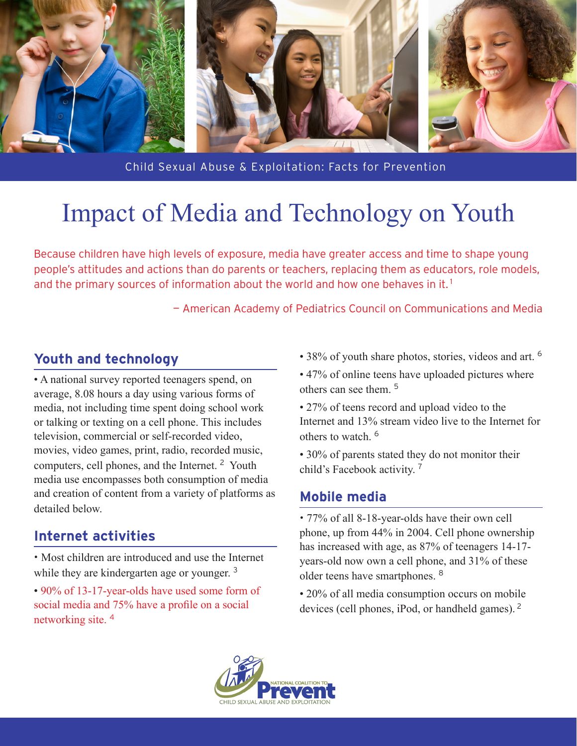

Child Sexual Abuse & Exploitation: Facts for Prevention

# Impact of Media and Technology on Youth

Because children have high levels of exposure, media have greater access and time to shape young people's attitudes and actions than do parents or teachers, replacing them as educators, role models, and the primary sources of information about the world and how one behaves in it.<sup>1</sup>

— American Academy of Pediatrics Council on Communications and Media

## **Youth and technology**

• A national survey reported teenagers spend, on average, 8.08 hours a day using various forms of media, not including time spent doing school work or talking or texting on a cell phone. This includes television, commercial or self-recorded video, movies, video games, print, radio, recorded music, computers, cell phones, and the Internet. <sup>2</sup> Youth media use encompasses both consumption of media and creation of content from a variety of platforms as detailed below.

## **Internet activities**

• Most children are introduced and use the Internet while they are kindergarten age or younger.<sup>3</sup>

• 90% of 13-17-year-olds have used some form of social media and 75% have a profile on a social networking site. <sup>4</sup>

- 38% of youth share photos, stories, videos and art. <sup>6</sup>
- 47% of online teens have uploaded pictures where others can see them. <sup>5</sup>
- 27% of teens record and upload video to the Internet and 13% stream video live to the Internet for others to watch. <sup>6</sup>

• 30% of parents stated they do not monitor their child's Facebook activity. <sup>7</sup>

#### **Mobile media**

• 77% of all 8-18-year-olds have their own cell phone, up from 44% in 2004. Cell phone ownership has increased with age, as 87% of teenagers 14-17 years-old now own a cell phone, and 31% of these older teens have smartphones. <sup>8</sup>

• 20% of all media consumption occurs on mobile devices (cell phones, iPod, or handheld games). <sup>2</sup>